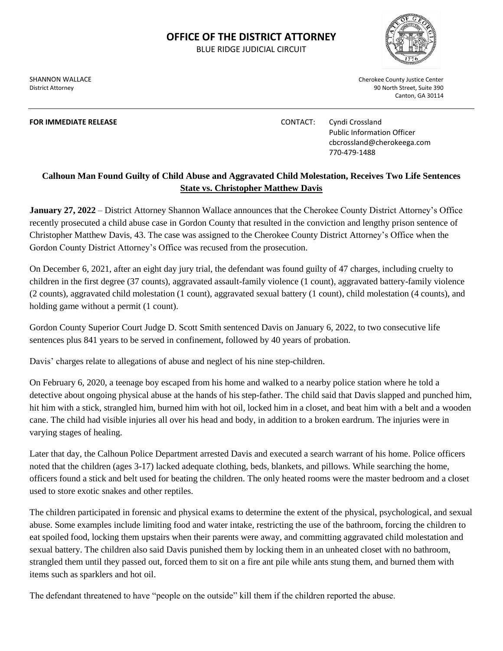## **OFFICE OF THE DISTRICT ATTORNEY**

BLUE RIDGE JUDICIAL CIRCUIT

**FOR IMMEDIATE RELEASE CONTACT:** Cyndi Crossland

SHANNON WALLACE **Cherokee County Justice Center** Cherokee County Justice Center District Attorney 90 North Street, Suite 390 Canton, GA 30114

> Public Information Officer cbcrossland@cherokeega.com 770-479-1488

## **Calhoun Man Found Guilty of Child Abuse and Aggravated Child Molestation, Receives Two Life Sentences State vs. Christopher Matthew Davis**

**January 27, 2022** – District Attorney Shannon Wallace announces that the Cherokee County District Attorney's Office recently prosecuted a child abuse case in Gordon County that resulted in the conviction and lengthy prison sentence of Christopher Matthew Davis, 43. The case was assigned to the Cherokee County District Attorney's Office when the Gordon County District Attorney's Office was recused from the prosecution.

On December 6, 2021, after an eight day jury trial, the defendant was found guilty of 47 charges, including cruelty to children in the first degree (37 counts), aggravated assault-family violence (1 count), aggravated battery-family violence (2 counts), aggravated child molestation (1 count), aggravated sexual battery (1 count), child molestation (4 counts), and holding game without a permit (1 count).

Gordon County Superior Court Judge D. Scott Smith sentenced Davis on January 6, 2022, to two consecutive life sentences plus 841 years to be served in confinement, followed by 40 years of probation.

Davis' charges relate to allegations of abuse and neglect of his nine step-children.

On February 6, 2020, a teenage boy escaped from his home and walked to a nearby police station where he told a detective about ongoing physical abuse at the hands of his step-father. The child said that Davis slapped and punched him, hit him with a stick, strangled him, burned him with hot oil, locked him in a closet, and beat him with a belt and a wooden cane. The child had visible injuries all over his head and body, in addition to a broken eardrum. The injuries were in varying stages of healing.

Later that day, the Calhoun Police Department arrested Davis and executed a search warrant of his home. Police officers noted that the children (ages 3-17) lacked adequate clothing, beds, blankets, and pillows. While searching the home, officers found a stick and belt used for beating the children. The only heated rooms were the master bedroom and a closet used to store exotic snakes and other reptiles.

The children participated in forensic and physical exams to determine the extent of the physical, psychological, and sexual abuse. Some examples include limiting food and water intake, restricting the use of the bathroom, forcing the children to eat spoiled food, locking them upstairs when their parents were away, and committing aggravated child molestation and sexual battery. The children also said Davis punished them by locking them in an unheated closet with no bathroom, strangled them until they passed out, forced them to sit on a fire ant pile while ants stung them, and burned them with items such as sparklers and hot oil.

The defendant threatened to have "people on the outside" kill them if the children reported the abuse.